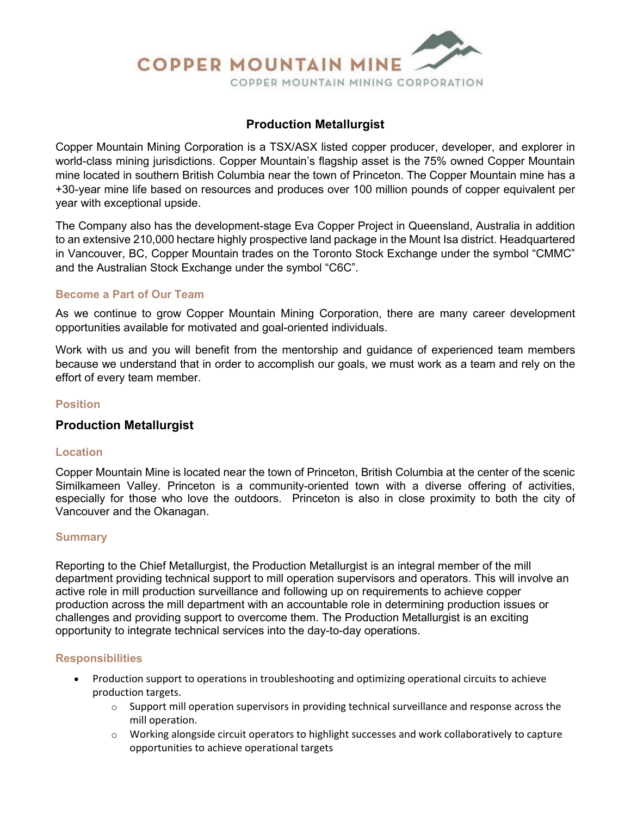

# **Production Metallurgist**

Copper Mountain Mining Corporation is a TSX/ASX listed copper producer, developer, and explorer in world-class mining jurisdictions. Copper Mountain's flagship asset is the 75% owned Copper Mountain mine located in southern British Columbia near the town of Princeton. The Copper Mountain mine has a +30-year mine life based on resources and produces over 100 million pounds of copper equivalent per year with exceptional upside.

The Company also has the development-stage Eva Copper Project in Queensland, Australia in addition to an extensive 210,000 hectare highly prospective land package in the Mount Isa district. Headquartered in Vancouver, BC, Copper Mountain trades on the Toronto Stock Exchange under the symbol "CMMC" and the Australian Stock Exchange under the symbol "C6C".

### **Become a Part of Our Team**

As we continue to grow Copper Mountain Mining Corporation, there are many career development opportunities available for motivated and goal-oriented individuals.

Work with us and you will benefit from the mentorship and guidance of experienced team members because we understand that in order to accomplish our goals, we must work as a team and rely on the effort of every team member.

### **Position**

## **Production Metallurgist**

#### **Location**

Copper Mountain Mine is located near the town of Princeton, British Columbia at the center of the scenic Similkameen Valley. Princeton is a community-oriented town with a diverse offering of activities, especially for those who love the outdoors. Princeton is also in close proximity to both the city of Vancouver and the Okanagan.

#### **Summary**

Reporting to the Chief Metallurgist, the Production Metallurgist is an integral member of the mill department providing technical support to mill operation supervisors and operators. This will involve an active role in mill production surveillance and following up on requirements to achieve copper production across the mill department with an accountable role in determining production issues or challenges and providing support to overcome them. The Production Metallurgist is an exciting opportunity to integrate technical services into the day-to-day operations.

#### **Responsibilities**

- Production support to operations in troubleshooting and optimizing operational circuits to achieve production targets.
	- $\circ$  Support mill operation supervisors in providing technical surveillance and response across the mill operation.
	- o Working alongside circuit operators to highlight successes and work collaboratively to capture opportunities to achieve operational targets